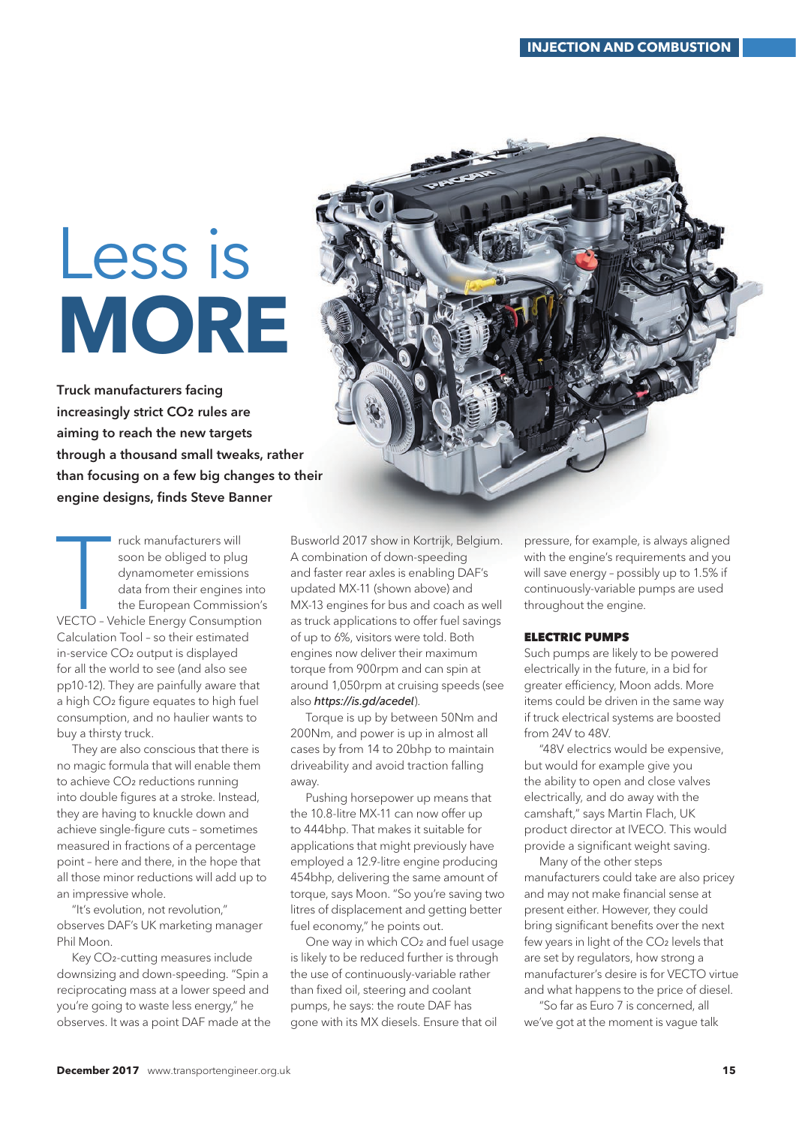## Less is **MORE**

Truck manufacturers facing increasingly strict CO2 rules are aiming to reach the new targets through a thousand small tweaks, rather than focusing on a few big changes to their engine designs, finds Steve Banner

Truck manufacturers will<br>soon be obliged to plug<br>dynamometer emissions<br>data from their engines into<br>the European Commission's<br>VECTO - Vehicle Energy Consumption ruck manufacturers will soon be obliged to plug dynamometer emissions data from their engines into the European Commission's Calculation Tool – so their estimated in-service CO<sub>2</sub> output is displayed for all the world to see (and also see pp10-12). They are painfully aware that a high CO2 figure equates to high fuel consumption, and no haulier wants to buy a thirsty truck.

They are also conscious that there is no magic formula that will enable them to achieve CO2 reductions running into double figures at a stroke. Instead, they are having to knuckle down and achieve single-figure cuts – sometimes measured in fractions of a percentage point – here and there, in the hope that all those minor reductions will add up to an impressive whole.

"It's evolution, not revolution," observes DAF's UK marketing manager Phil Moon.

Key CO2-cutting measures include downsizing and down-speeding. "Spin a reciprocating mass at a lower speed and you're going to waste less energy," he observes. It was a point DAF made at the

Busworld 2017 show in Kortrijk, Belgium. A combination of down-speeding and faster rear axles is enabling DAF's updated MX-11 (shown above) and MX-13 engines for bus and coach as well as truck applications to offer fuel savings of up to 6%, visitors were told. Both engines now deliver their maximum torque from 900rpm and can spin at around 1,050rpm at cruising speeds (see also *https://is.gd/acedel*).

Torque is up by between 50Nm and 200Nm, and power is up in almost all cases by from 14 to 20bhp to maintain driveability and avoid traction falling away.

Pushing horsepower up means that the 10.8-litre MX-11 can now offer up to 444bhp. That makes it suitable for applications that might previously have employed a 12.9-litre engine producing 454bhp, delivering the same amount of torque, says Moon. "So you're saving two litres of displacement and getting better fuel economy," he points out.

One way in which CO2 and fuel usage is likely to be reduced further is through the use of continuously-variable rather than fixed oil, steering and coolant pumps, he says: the route DAF has gone with its MX diesels. Ensure that oil

pressure, for example, is always aligned with the engine's requirements and you will save energy – possibly up to 1.5% if continuously-variable pumps are used throughout the engine.

## ELECTRIC PUMPS

Such pumps are likely to be powered electrically in the future, in a bid for greater efficiency, Moon adds. More items could be driven in the same way if truck electrical systems are boosted from 24V to 48V.

"48V electrics would be expensive, but would for example give you the ability to open and close valves electrically, and do away with the camshaft," says Martin Flach, UK product director at IVECO. This would provide a significant weight saving.

Many of the other steps manufacturers could take are also pricey and may not make financial sense at present either. However, they could bring significant benefits over the next few years in light of the CO<sub>2</sub> levels that are set by regulators, how strong a manufacturer's desire is for VECTO virtue and what happens to the price of diesel.

"So far as Euro 7 is concerned, all we've got at the moment is vague talk